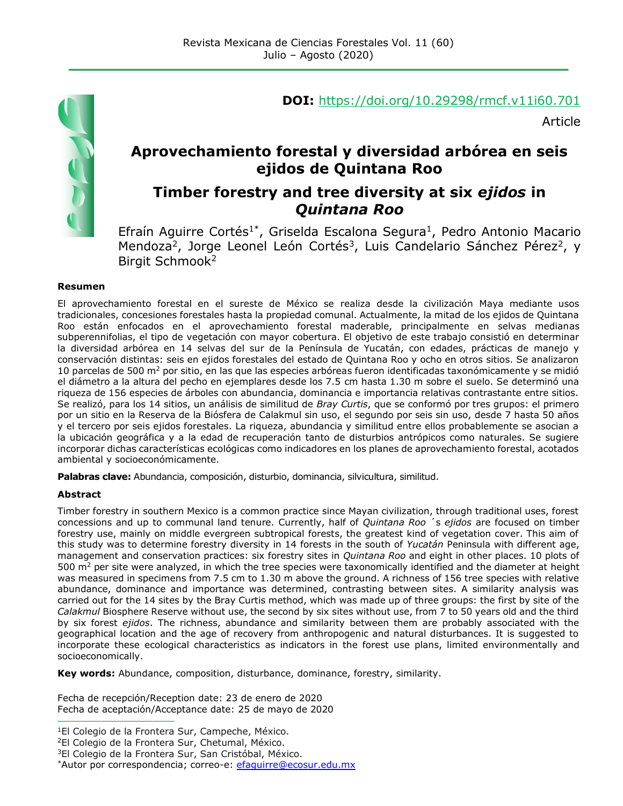

#### **DOI:** <https://doi.org/10.29298/rmcf.v11i60.701>

Article

## **Aprovechamiento forestal y diversidad arbórea en seis ejidos de Quintana Roo**

## **Timber forestry and tree diversity at six** *ejidos* **in**  *Quintana Roo*

Efraín Aguirre Cortés<sup>1\*</sup>, Griselda Escalona Segura<sup>1</sup>, Pedro Antonio Macario Mendoza<sup>2</sup>, Jorge Leonel León Cortés<sup>3</sup>, Luis Candelario Sánchez Pérez<sup>2</sup>, y Birgit Schmook<sup>2</sup>

#### **Resumen**

El aprovechamiento forestal en el sureste de México se realiza desde la civilización Maya mediante usos tradicionales, concesiones forestales hasta la propiedad comunal. Actualmente, la mitad de los ejidos de Quintana Roo están enfocados en el aprovechamiento forestal maderable, principalmente en selvas medianas subperennifolias, el tipo de vegetación con mayor cobertura. El objetivo de este trabajo consistió en determinar la diversidad arbórea en 14 selvas del sur de la Península de Yucatán, con edades, prácticas de manejo y conservación distintas: seis en ejidos forestales del estado de Quintana Roo y ocho en otros sitios. Se analizaron 10 parcelas de 500 m<sup>2</sup> por sitio, en las que las especies arbóreas fueron identificadas taxonómicamente y se midió el diámetro a la altura del pecho en ejemplares desde los 7.5 cm hasta 1.30 m sobre el suelo. Se determinó una riqueza de 156 especies de árboles con abundancia, dominancia e importancia relativas contrastante entre sitios. Se realizó, para los 14 sitios, un análisis de similitud de *Bray Curtis*, que se conformó por tres grupos: el primero por un sitio en la Reserva de la Biósfera de Calakmul sin uso, el segundo por seis sin uso, desde 7 hasta 50 años y el tercero por seis ejidos forestales. La riqueza, abundancia y similitud entre ellos probablemente se asocian a la ubicación geográfica y a la edad de recuperación tanto de disturbios antrópicos como naturales. Se sugiere incorporar dichas características ecológicas como indicadores en los planes de aprovechamiento forestal, acotados ambiental y socioeconómicamente.

**Palabras clave:** Abundancia, composición, disturbio, dominancia, silvicultura, similitud.

#### **Abstract**

Timber forestry in southern Mexico is a common practice since Mayan civilization, through traditional uses, forest concessions and up to communal land tenure. Currently, half of *Quintana Roo* ´s *ejidos* are focused on timber forestry use, mainly on middle evergreen subtropical forests, the greatest kind of vegetation cover. This aim of this study was to determine forestry diversity in 14 forests in the south of *Yucatán* Peninsula with different age, management and conservation practices: six forestry sites in *Quintana Roo* and eight in other places. 10 plots of 500  $m<sup>2</sup>$  per site were analyzed, in which the tree species were taxonomically identified and the diameter at height was measured in specimens from 7.5 cm to 1.30 m above the ground. A richness of 156 tree species with relative abundance, dominance and importance was determined, contrasting between sites. A similarity analysis was carried out for the 14 sites by the Bray Curtis method, which was made up of three groups: the first by site of the *Calakmul* Biosphere Reserve without use, the second by six sites without use, from 7 to 50 years old and the third by six forest *ejidos*. The richness, abundance and similarity between them are probably associated with the geographical location and the age of recovery from anthropogenic and natural disturbances. It is suggested to incorporate these ecological characteristics as indicators in the forest use plans, limited environmentally and socioeconomically.

**Key words:** Abundance, composition, disturbance, dominance, forestry, similarity.

Fecha de recepción/Reception date: 23 de enero de 2020 Fecha de aceptación/Acceptance date: 25 de mayo de 2020

**\_\_\_\_\_\_\_\_\_\_\_\_\_\_\_\_\_\_\_\_\_\_\_\_\_\_\_**

<sup>&</sup>lt;sup>1</sup>El Colegio de la Frontera Sur, Campeche, México.

<sup>&</sup>lt;sup>2</sup>El Colegio de la Frontera Sur, Chetumal, México.

<sup>3</sup>El Colegio de la Frontera Sur, San Cristóbal, México.

<sup>\*</sup>Autor por correspondencia; correo-e: efaquirre@ecosur.edu.mx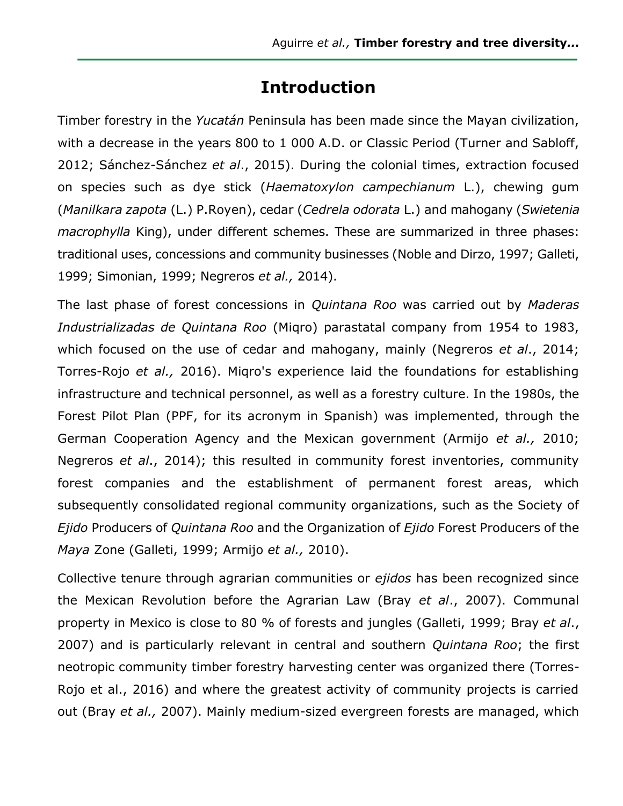# **Introduction**

Timber forestry in the *Yucatán* Peninsula has been made since the Mayan civilization, with a decrease in the years 800 to 1 000 A.D. or Classic Period (Turner and Sabloff, 2012; Sánchez-Sánchez *et al*., 2015). During the colonial times, extraction focused on species such as dye stick (*Haematoxylon campechianum* L.), chewing gum (*Manilkara zapota* (L.) P.Royen), cedar (*Cedrela odorata* L.) and mahogany (*Swietenia macrophylla* King), under different schemes. These are summarized in three phases: traditional uses, concessions and community businesses (Noble and Dirzo, 1997; Galleti, 1999; Simonian, 1999; Negreros *et al.,* 2014).

The last phase of forest concessions in *Quintana Roo* was carried out by *Maderas Industrializadas de Quintana Roo* (Miqro) parastatal company from 1954 to 1983, which focused on the use of cedar and mahogany, mainly (Negreros *et al*., 2014; Torres-Rojo *et al.,* 2016). Miqro's experience laid the foundations for establishing infrastructure and technical personnel, as well as a forestry culture. In the 1980s, the Forest Pilot Plan (PPF, for its acronym in Spanish) was implemented, through the German Cooperation Agency and the Mexican government (Armijo *et al.,* 2010; Negreros *et al*., 2014); this resulted in community forest inventories, community forest companies and the establishment of permanent forest areas, which subsequently consolidated regional community organizations, such as the Society of *Ejido* Producers of *Quintana Roo* and the Organization of *Ejido* Forest Producers of the *Maya* Zone (Galleti, 1999; Armijo *et al.,* 2010).

Collective tenure through agrarian communities or *ejidos* has been recognized since the Mexican Revolution before the Agrarian Law (Bray *et al*., 2007). Communal property in Mexico is close to 80 % of forests and jungles (Galleti, 1999; Bray *et al*., 2007) and is particularly relevant in central and southern *Quintana Roo*; the first neotropic community timber forestry harvesting center was organized there (Torres-Rojo et al., 2016) and where the greatest activity of community projects is carried out (Bray *et al.,* 2007). Mainly medium-sized evergreen forests are managed, which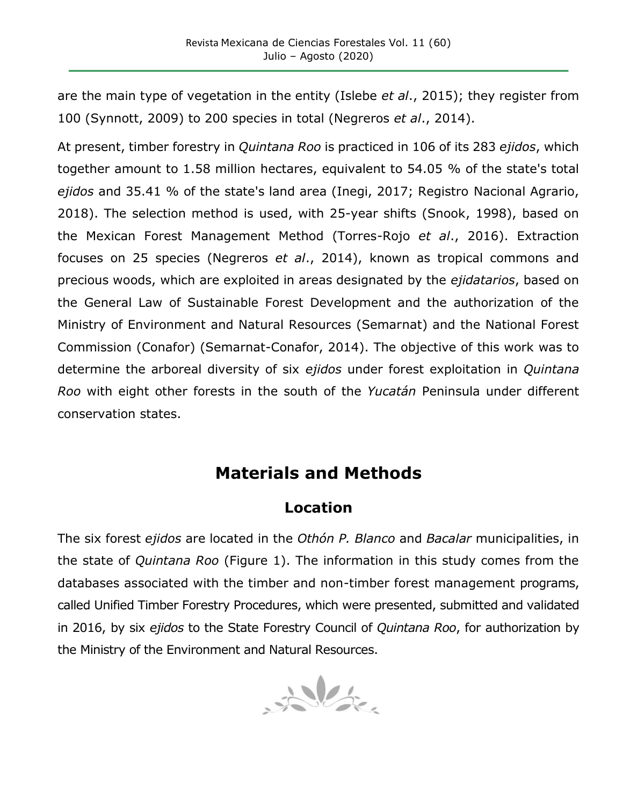are the main type of vegetation in the entity (Islebe *et al*., 2015); they register from 100 (Synnott, 2009) to 200 species in total (Negreros *et al*., 2014).

At present, timber forestry in *Quintana Roo* is practiced in 106 of its 283 *ejidos*, which together amount to 1.58 million hectares, equivalent to 54.05 % of the state's total *ejidos* and 35.41 % of the state's land area (Inegi, 2017; Registro Nacional Agrario, 2018). The selection method is used, with 25-year shifts (Snook, 1998), based on the Mexican Forest Management Method (Torres-Rojo *et al*., 2016). Extraction focuses on 25 species (Negreros *et al*., 2014), known as tropical commons and precious woods, which are exploited in areas designated by the *ejidatarios*, based on the General Law of Sustainable Forest Development and the authorization of the Ministry of Environment and Natural Resources (Semarnat) and the National Forest Commission (Conafor) (Semarnat-Conafor, 2014). The objective of this work was to determine the arboreal diversity of six *ejidos* under forest exploitation in *Quintana Roo* with eight other forests in the south of the *Yucatán* Peninsula under different conservation states.

# **Materials and Methods**

## **Location**

The six forest *ejidos* are located in the *Othón P. Blanco* and *Bacalar* municipalities, in the state of *Quintana Roo* (Figure 1). The information in this study comes from the databases associated with the timber and non-timber forest management programs, called Unified Timber Forestry Procedures, which were presented, submitted and validated in 2016, by six *ejidos* to the State Forestry Council of *Quintana Roo*, for authorization by the Ministry of the Environment and Natural Resources.

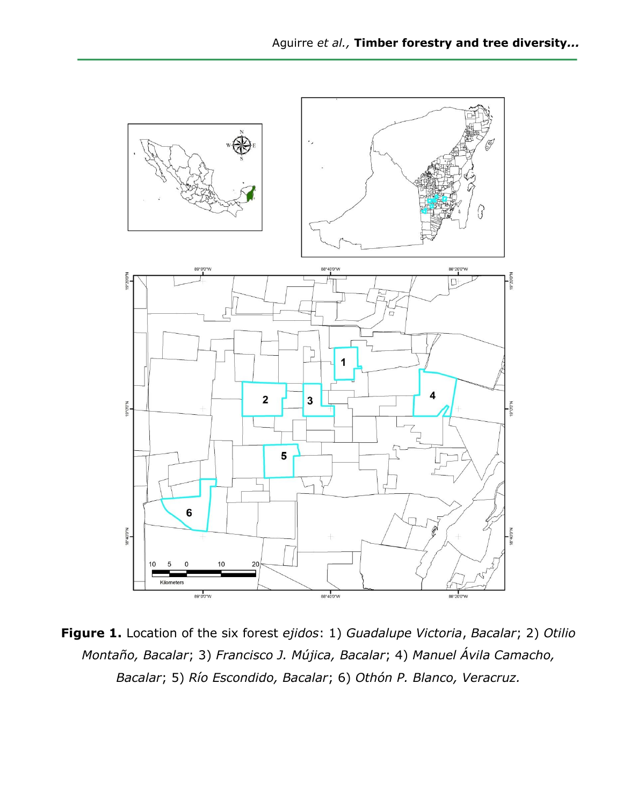

**Figure 1.** Location of the six forest *ejidos*: 1) *Guadalupe Victoria*, *Bacalar*; 2) *Otilio Montaño, Bacalar*; 3) *Francisco J. Mújica, Bacalar*; 4) *Manuel Ávila Camacho, Bacalar*; 5) *Río Escondido, Bacalar*; 6) *Othón P. Blanco, Veracruz.*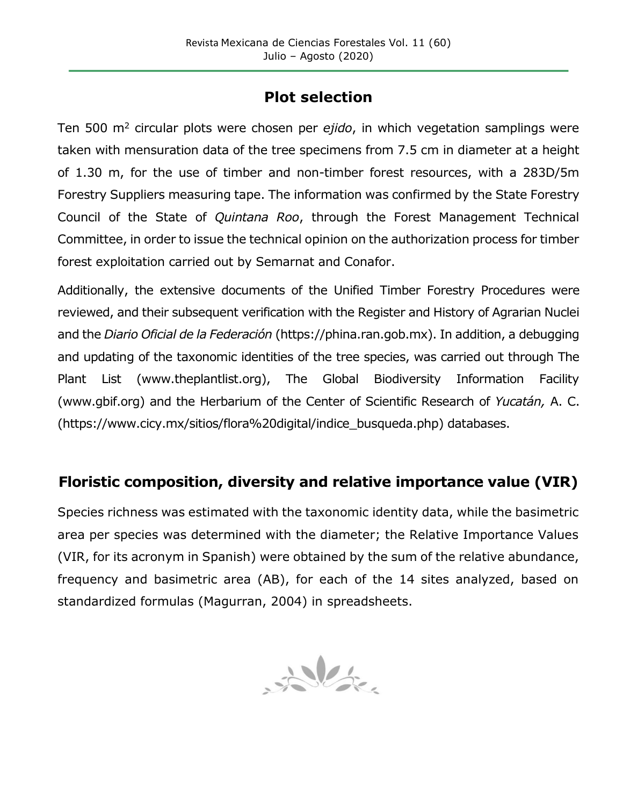## **Plot selection**

Ten 500 m<sup>2</sup> circular plots were chosen per *ejido*, in which vegetation samplings were taken with mensuration data of the tree specimens from 7.5 cm in diameter at a height of 1.30 m, for the use of timber and non-timber forest resources, with a 283D/5m Forestry Suppliers measuring tape. The information was confirmed by the State Forestry Council of the State of *Quintana Roo*, through the Forest Management Technical Committee, in order to issue the technical opinion on the authorization process for timber forest exploitation carried out by Semarnat and Conafor.

Additionally, the extensive documents of the Unified Timber Forestry Procedures were reviewed, and their subsequent verification with the Register and History of Agrarian Nuclei and the *Diario Oficial de la Federación* (https://phina.ran.gob.mx). In addition, a debugging and updating of the taxonomic identities of the tree species, was carried out through The Plant List (www.theplantlist.org), The Global Biodiversity Information Facility (www.gbif.org) and the Herbarium of the Center of Scientific Research of *Yucatán,* A. C. (https://www.cicy.mx/sitios/flora%20digital/indice\_busqueda.php) databases.

## **Floristic composition, diversity and relative importance value (VIR)**

Species richness was estimated with the taxonomic identity data, while the basimetric area per species was determined with the diameter; the Relative Importance Values (VIR, for its acronym in Spanish) were obtained by the sum of the relative abundance, frequency and basimetric area (AB), for each of the 14 sites analyzed, based on standardized formulas (Magurran, 2004) in spreadsheets.

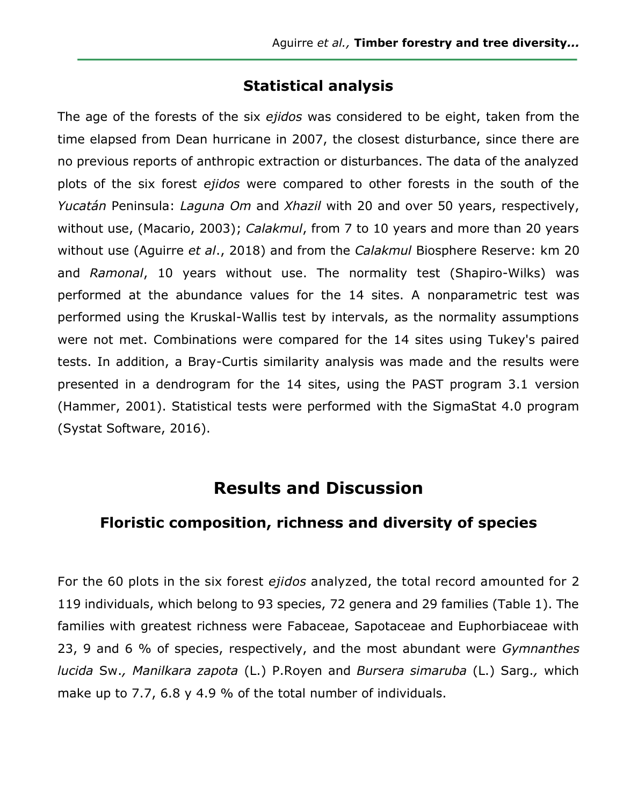## **Statistical analysis**

The age of the forests of the six *ejidos* was considered to be eight, taken from the time elapsed from Dean hurricane in 2007, the closest disturbance, since there are no previous reports of anthropic extraction or disturbances. The data of the analyzed plots of the six forest *ejidos* were compared to other forests in the south of the *Yucatán* Peninsula: *Laguna Om* and *Xhazil* with 20 and over 50 years, respectively, without use, (Macario, 2003); *Calakmul*, from 7 to 10 years and more than 20 years without use (Aguirre *et al*., 2018) and from the *Calakmul* Biosphere Reserve: km 20 and *Ramonal*, 10 years without use. The normality test (Shapiro-Wilks) was performed at the abundance values for the 14 sites. A nonparametric test was performed using the Kruskal-Wallis test by intervals, as the normality assumptions were not met. Combinations were compared for the 14 sites using Tukey's paired tests. In addition, a Bray-Curtis similarity analysis was made and the results were presented in a dendrogram for the 14 sites, using the PAST program 3.1 version (Hammer, 2001). Statistical tests were performed with the SigmaStat 4.0 program (Systat Software, 2016).

# **Results and Discussion**

## **Floristic composition, richness and diversity of species**

For the 60 plots in the six forest *ejidos* analyzed, the total record amounted for 2 119 individuals, which belong to 93 species, 72 genera and 29 families (Table 1). The families with greatest richness were Fabaceae, Sapotaceae and Euphorbiaceae with 23, 9 and 6 % of species, respectively, and the most abundant were *Gymnanthes lucida* Sw.*, Manilkara zapota* (L.) P.Royen and *Bursera simaruba* (L.) Sarg.*,* which make up to 7.7, 6.8 y 4.9 % of the total number of individuals.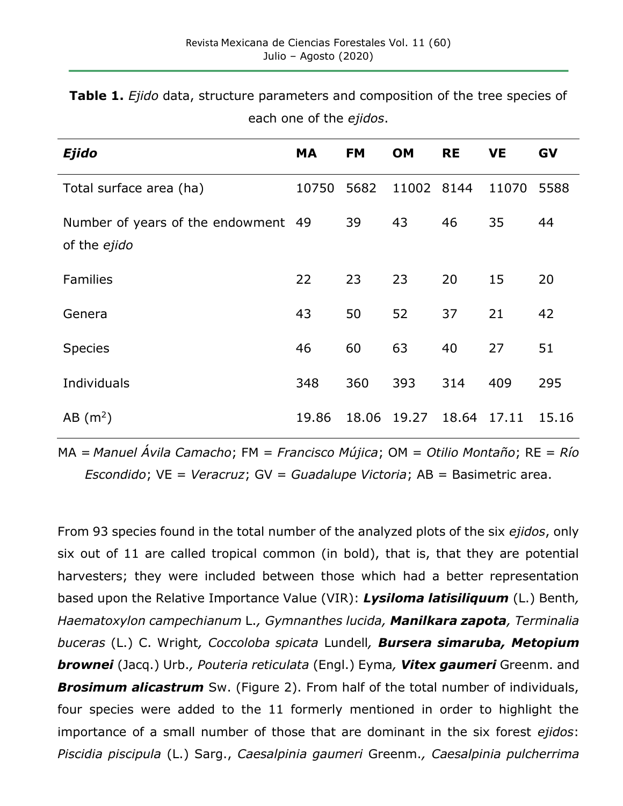| <b>Ejido</b>                                        | <b>MA</b> | <b>FM</b> | OM         | <b>RE</b> | <b>VE</b> | GV    |
|-----------------------------------------------------|-----------|-----------|------------|-----------|-----------|-------|
| Total surface area (ha)                             | 10750     | 5682      | 11002 8144 |           | 11070     | 5588  |
| Number of years of the endowment 49<br>of the ejido |           | 39        | 43         | 46        | 35        | 44    |
| Families                                            | 22        | 23        | 23         | 20        | 15        | 20    |
| Genera                                              | 43        | 50        | 52         | 37        | 21        | 42    |
| <b>Species</b>                                      | 46        | 60        | 63         | 40        | 27        | 51    |
| Individuals                                         | 348       | 360       | 393        | 314       | 409       | 295   |
| $AB$ (m <sup>2</sup> )                              | 19.86     | 18.06     | 19.27      | 18.64     | 17.11     | 15.16 |

**Table 1.** *Ejido* data, structure parameters and composition of the tree species of each one of the *ejidos*.

MA = *Manuel Ávila Camacho*; FM = *Francisco Mújica*; OM = *Otilio Montaño*; RE = *Río Escondido*; VE = *Veracruz*; GV = *Guadalupe Victoria*; AB = Basimetric area.

From 93 species found in the total number of the analyzed plots of the six *ejidos*, only six out of 11 are called tropical common (in bold), that is, that they are potential harvesters; they were included between those which had a better representation based upon the Relative Importance Value (VIR): *Lysiloma latisiliquum* (L.) Benth*, Haematoxylon campechianum* L.*, Gymnanthes lucida, Manilkara zapota, Terminalia buceras* (L.) C. Wright*, Coccoloba spicata* Lundell*, Bursera simaruba, Metopium brownei* (Jacq.) Urb.*, Pouteria reticulata* (Engl.) Eyma*, Vitex gaumeri* Greenm. and *Brosimum alicastrum* Sw. (Figure 2). From half of the total number of individuals, four species were added to the 11 formerly mentioned in order to highlight the importance of a small number of those that are dominant in the six forest *ejidos*: *Piscidia piscipula* (L.) Sarg., *Caesalpinia gaumeri* Greenm.*, Caesalpinia pulcherrima*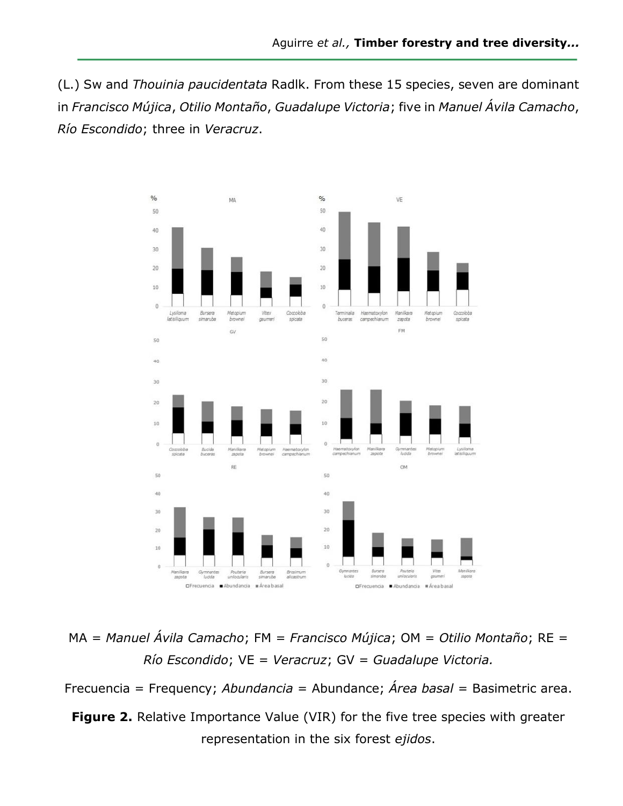(L.) Sw and *Thouinia paucidentata* Radlk. From these 15 species, seven are dominant in *Francisco Mújica*, *Otilio Montaño*, *Guadalupe Victoria*; five in *Manuel Ávila Camacho*, *Río Escondido*; three in *Veracruz*.



MA = *Manuel Ávila Camacho*; FM = *Francisco Mújica*; OM = *Otilio Montaño*; RE = *Río Escondido*; VE = *Veracruz*; GV = *Guadalupe Victoria.*

Frecuencia = Frequency; *Abundancia* = Abundance; *Área basal* = Basimetric area.

**Figure 2.** Relative Importance Value (VIR) for the five tree species with greater representation in the six forest *ejidos*.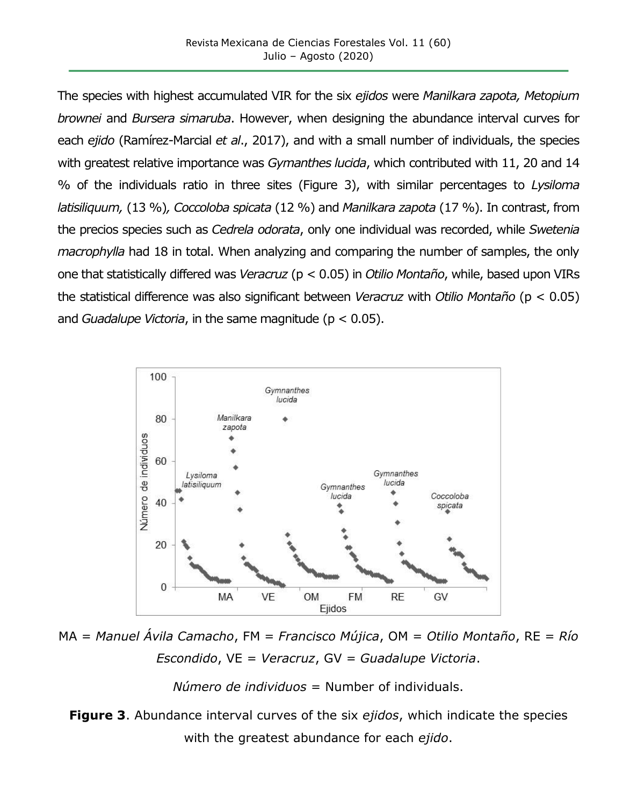The species with highest accumulated VIR for the six *ejidos* were *Manilkara zapota, Metopium brownei* and *Bursera simaruba*. However, when designing the abundance interval curves for each *ejido* (Ramírez-Marcial *et al*., 2017), and with a small number of individuals, the species with greatest relative importance was *Gymanthes lucida*, which contributed with 11, 20 and 14 % of the individuals ratio in three sites (Figure 3), with similar percentages to *Lysiloma latisiliquum,* (13 %)*, Coccoloba spicata* (12 %) and *Manilkara zapota* (17 %). In contrast, from the precios species such as *Cedrela odorata*, only one individual was recorded, while *Swetenia macrophylla* had 18 in total. When analyzing and comparing the number of samples, the only one that statistically differed was *Veracruz* (p < 0.05) in *Otilio Montaño*, while, based upon VIRs the statistical difference was also significant between *Veracruz* with *Otilio Montaño* (p < 0.05) and *Guadalupe Victoria*, in the same magnitude (p < 0.05).



MA = *Manuel Ávila Camacho*, FM = *Francisco Mújica*, OM = *Otilio Montaño*, RE = *Río Escondido*, VE = *Veracruz*, GV = *Guadalupe Victoria*.

*Número de individuos* = Number of individuals.

**Figure 3**. Abundance interval curves of the six *ejidos*, which indicate the species with the greatest abundance for each *ejido*.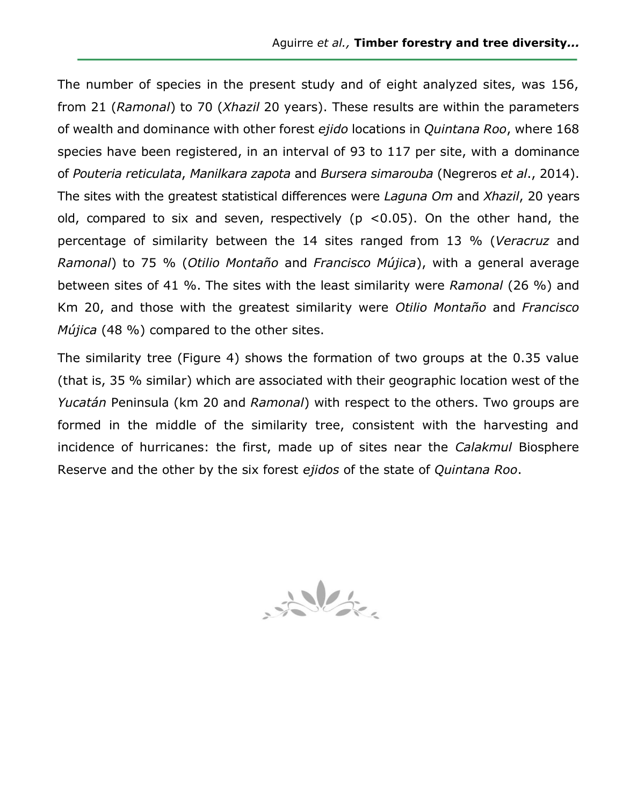The number of species in the present study and of eight analyzed sites, was 156, from 21 (*Ramonal*) to 70 (*Xhazil* 20 years). These results are within the parameters of wealth and dominance with other forest *ejido* locations in *Quintana Roo*, where 168 species have been registered, in an interval of 93 to 117 per site, with a dominance of *Pouteria reticulata*, *Manilkara zapota* and *Bursera simarouba* (Negreros *et al*., 2014). The sites with the greatest statistical differences were *Laguna Om* and *Xhazil*, 20 years old, compared to six and seven, respectively ( $p$  <0.05). On the other hand, the percentage of similarity between the 14 sites ranged from 13 % (*Veracruz* and *Ramonal*) to 75 % (*Otilio Montaño* and *Francisco Mújica*), with a general average between sites of 41 %. The sites with the least similarity were *Ramonal* (26 %) and Km 20, and those with the greatest similarity were *Otilio Montaño* and *Francisco Mújica* (48 %) compared to the other sites.

The similarity tree (Figure 4) shows the formation of two groups at the 0.35 value (that is, 35 % similar) which are associated with their geographic location west of the *Yucatán* Peninsula (km 20 and *Ramonal*) with respect to the others. Two groups are formed in the middle of the similarity tree, consistent with the harvesting and incidence of hurricanes: the first, made up of sites near the *Calakmul* Biosphere Reserve and the other by the six forest *ejidos* of the state of *Quintana Roo*.

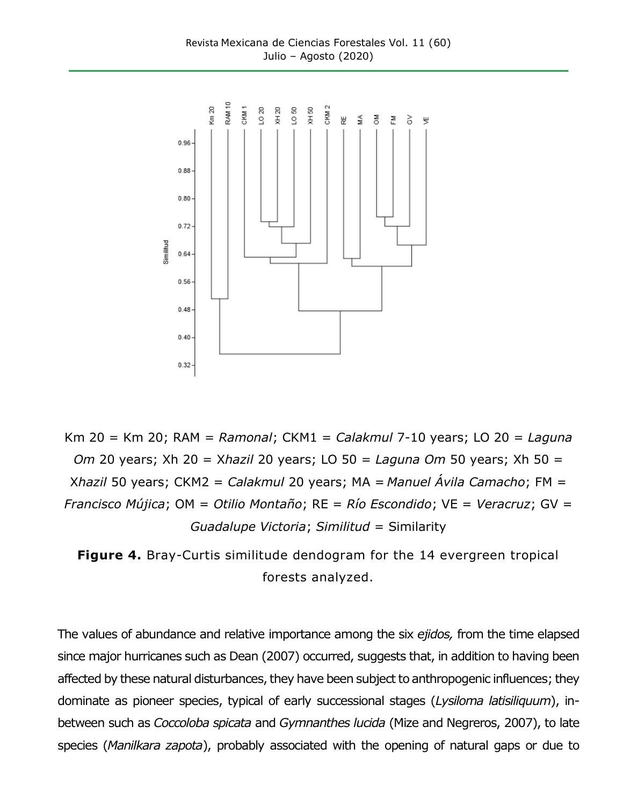

Km 20 = Km 20; RAM = *Ramonal*; CKM1 = *Calakmul* 7-10 years; LO 20 = *Laguna Om* 20 years; Xh 20 = X*hazil* 20 years; LO 50 = *Laguna Om* 50 years; Xh 50 = X*hazil* 50 years; CKM2 = *Calakmul* 20 years; MA = *Manuel Ávila Camacho*; FM = *Francisco Mújica*; OM = *Otilio Montaño*; RE = *Río Escondido*; VE = *Veracruz*; GV = *Guadalupe Victoria*; *Similitud* = Similarity

**Figure 4.** Bray-Curtis similitude dendogram for the 14 evergreen tropical forests analyzed.

The values of abundance and relative importance among the six *ejidos,* from the time elapsed since major hurricanes such as Dean (2007) occurred, suggests that, in addition to having been affected by these natural disturbances, they have been subject to anthropogenic influences; they dominate as pioneer species, typical of early successional stages (*Lysiloma latisiliquum*), inbetween such as *Coccoloba spicata* and *Gymnanthes lucida* (Mize and Negreros, 2007), to late species (*Manilkara zapota*), probably associated with the opening of natural gaps or due to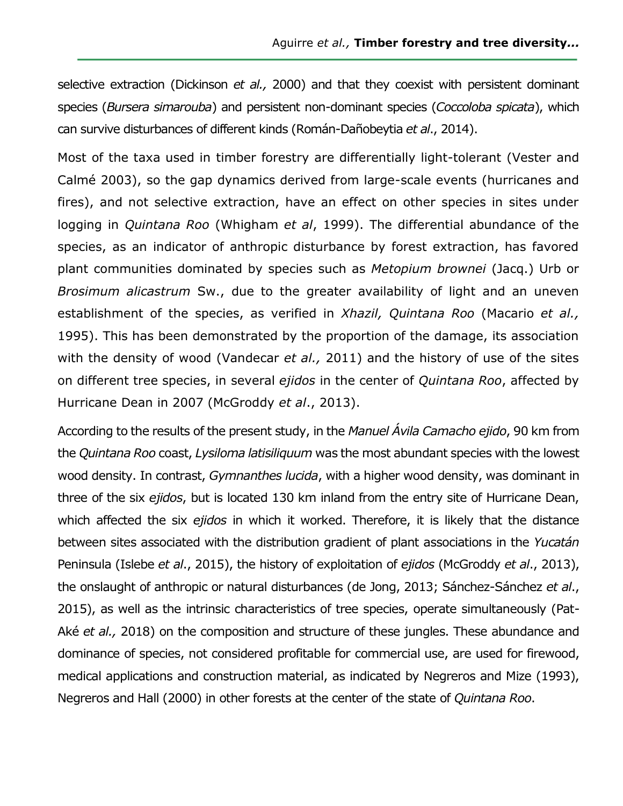selective extraction (Dickinson *et al.,* 2000) and that they coexist with persistent dominant species (*Bursera simarouba*) and persistent non-dominant species (*Coccoloba spicata*), which can survive disturbances of different kinds (Román-Dañobeytia *et al*., 2014).

Most of the taxa used in timber forestry are differentially light-tolerant (Vester and Calmé 2003), so the gap dynamics derived from large-scale events (hurricanes and fires), and not selective extraction, have an effect on other species in sites under logging in *Quintana Roo* (Whigham *et al*, 1999). The differential abundance of the species, as an indicator of anthropic disturbance by forest extraction, has favored plant communities dominated by species such as *Metopium brownei* (Jacq.) Urb or *Brosimum alicastrum* Sw., due to the greater availability of light and an uneven establishment of the species, as verified in *Xhazil, Quintana Roo* (Macario *et al.,* 1995). This has been demonstrated by the proportion of the damage, its association with the density of wood (Vandecar *et al.,* 2011) and the history of use of the sites on different tree species, in several *ejidos* in the center of *Quintana Roo*, affected by Hurricane Dean in 2007 (McGroddy *et al*., 2013).

According to the results of the present study, in the *Manuel Ávila Camacho ejido*, 90 km from the *Quintana Roo* coast, *Lysiloma latisiliquum* was the most abundant species with the lowest wood density. In contrast, *Gymnanthes lucida*, with a higher wood density, was dominant in three of the six *ejidos*, but is located 130 km inland from the entry site of Hurricane Dean, which affected the six *ejidos* in which it worked. Therefore, it is likely that the distance between sites associated with the distribution gradient of plant associations in the *Yucatán* Peninsula (Islebe *et al*., 2015), the history of exploitation of *ejidos* (McGroddy *et al*., 2013), the onslaught of anthropic or natural disturbances (de Jong, 2013; Sánchez-Sánchez *et al*., 2015), as well as the intrinsic characteristics of tree species, operate simultaneously (Pat-Aké *et al.,* 2018) on the composition and structure of these jungles. These abundance and dominance of species, not considered profitable for commercial use, are used for firewood, medical applications and construction material, as indicated by Negreros and Mize (1993), Negreros and Hall (2000) in other forests at the center of the state of *Quintana Roo*.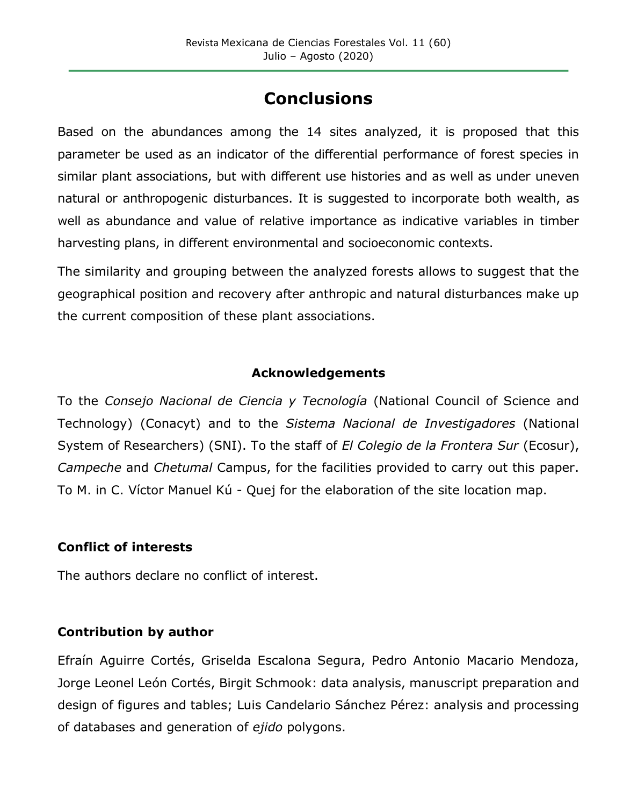# **Conclusions**

Based on the abundances among the 14 sites analyzed, it is proposed that this parameter be used as an indicator of the differential performance of forest species in similar plant associations, but with different use histories and as well as under uneven natural or anthropogenic disturbances. It is suggested to incorporate both wealth, as well as abundance and value of relative importance as indicative variables in timber harvesting plans, in different environmental and socioeconomic contexts.

The similarity and grouping between the analyzed forests allows to suggest that the geographical position and recovery after anthropic and natural disturbances make up the current composition of these plant associations.

### **Acknowledgements**

To the *Consejo Nacional de Ciencia y Tecnología* (National Council of Science and Technology) (Conacyt) and to the *Sistema Nacional de Investigadores* (National System of Researchers) (SNI). To the staff of *El Colegio de la Frontera Sur* (Ecosur), *Campeche* and *Chetumal* Campus, for the facilities provided to carry out this paper. To M. in C. Víctor Manuel Kú - Quej for the elaboration of the site location map.

### **Conflict of interests**

The authors declare no conflict of interest.

### **Contribution by author**

Efraín Aguirre Cortés, Griselda Escalona Segura, Pedro Antonio Macario Mendoza, Jorge Leonel León Cortés, Birgit Schmook: data analysis, manuscript preparation and design of figures and tables; Luis Candelario Sánchez Pérez: analysis and processing of databases and generation of *ejido* polygons.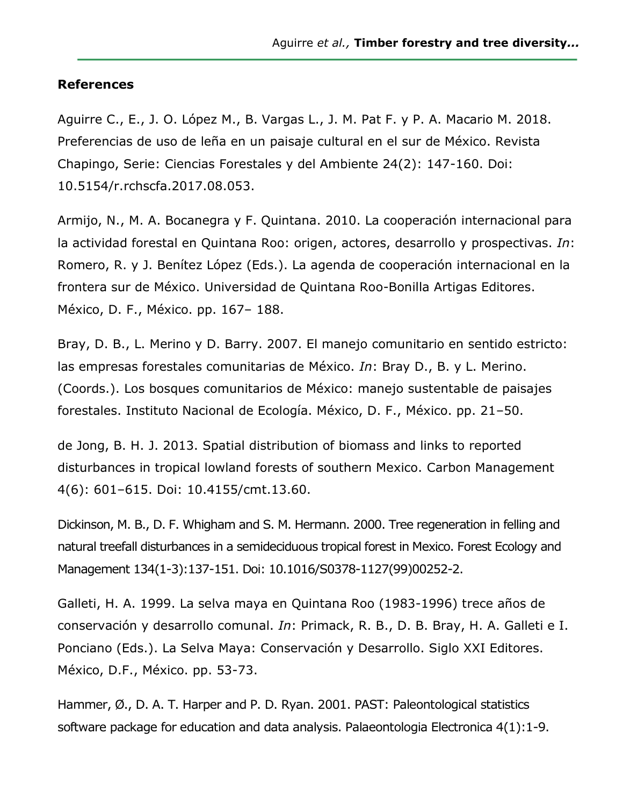#### **References**

Aguirre C., E., J. O. López M., B. Vargas L., J. M. Pat F. y P. A. Macario M. 2018. Preferencias de uso de leña en un paisaje cultural en el sur de México. Revista Chapingo, Serie: Ciencias Forestales y del Ambiente 24(2): 147-160. Doi: 10.5154/r.rchscfa.2017.08.053.

Armijo, N., M. A. Bocanegra y F. Quintana. 2010. La cooperación internacional para la actividad forestal en Quintana Roo: origen, actores, desarrollo y prospectivas. *In*: Romero, R. y J. Benítez López (Eds.). La agenda de cooperación internacional en la frontera sur de México. Universidad de Quintana Roo-Bonilla Artigas Editores. México, D. F., México. pp. 167– 188.

Bray, D. B., L. Merino y D. Barry. 2007. El manejo comunitario en sentido estricto: las empresas forestales comunitarias de México. *In*: Bray D., B. y L. Merino. (Coords.). Los bosques comunitarios de México: manejo sustentable de paisajes forestales. Instituto Nacional de Ecología. México, D. F., México. pp. 21–50.

de Jong, B. H. J. 2013. Spatial distribution of biomass and links to reported disturbances in tropical lowland forests of southern Mexico. Carbon Management 4(6): 601–615. Doi: 10.4155/cmt.13.60.

Dickinson, M. B., D. F. Whigham and S. M. Hermann. 2000. Tree regeneration in felling and natural treefall disturbances in a semideciduous tropical forest in Mexico. Forest Ecology and Management 134(1-3):137-151. Doi: 10.1016/S0378-1127(99)00252-2.

Galleti, H. A. 1999. La selva maya en Quintana Roo (1983-1996) trece años de conservación y desarrollo comunal. *In*: Primack, R. B., D. B. Bray, H. A. Galleti e I. Ponciano (Eds.). La Selva Maya: Conservación y Desarrollo. Siglo XXI Editores. México, D.F., México. pp. 53-73.

Hammer, Ø., D. A. T. Harper and P. D. Ryan. 2001. PAST: Paleontological statistics software package for education and data analysis. Palaeontologia Electronica 4(1):1-9.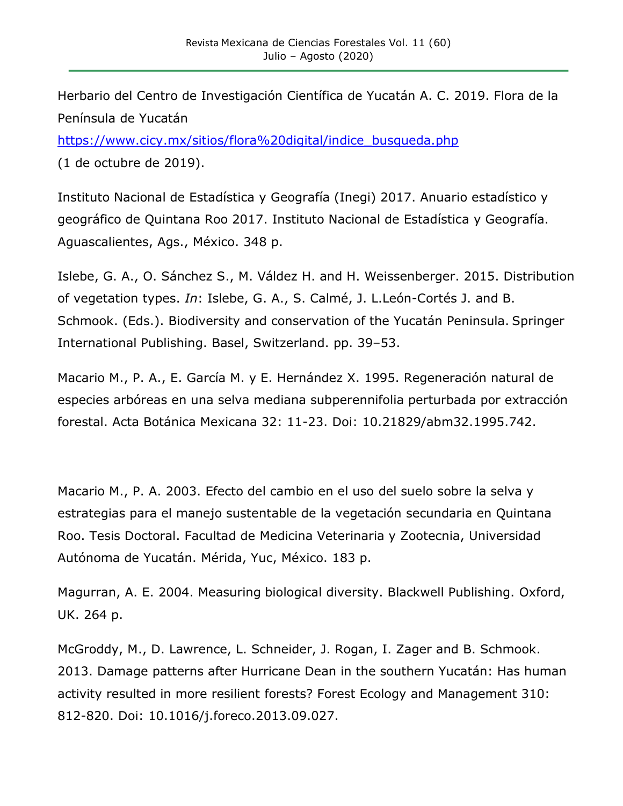Herbario del Centro de Investigación Científica de Yucatán A. C. 2019. Flora de la Península de Yucatán

[https://www.cicy.mx/sitios/flora%20digital/indice\\_busqueda.php](https://www.cicy.mx/sitios/flora%20digital/indice_busqueda.php) (1 de octubre de 2019).

Instituto Nacional de Estadística y Geografía (Inegi) 2017. Anuario estadístico y geográfico de Quintana Roo 2017. Instituto Nacional de Estadística y Geografía. Aguascalientes, Ags., México. 348 p.

Islebe, G. A., O. Sánchez S., M. Váldez H. and H. Weissenberger. 2015. Distribution of vegetation types. *In*: Islebe, G. A., S. Calmé, J. L.León-Cortés J. and B. Schmook. (Eds.). Biodiversity and conservation of the Yucatán Peninsula. Springer International Publishing. Basel, Switzerland. pp. 39–53.

Macario M., P. A., E. García M. y E. Hernández X. 1995. Regeneración natural de especies arbóreas en una selva mediana subperennifolia perturbada por extracción forestal. Acta Botánica Mexicana 32: 11-23. Doi: 10.21829/abm32.1995.742.

Macario M., P. A. 2003. Efecto del cambio en el uso del suelo sobre la selva y estrategias para el manejo sustentable de la vegetación secundaria en Quintana Roo. Tesis Doctoral. Facultad de Medicina Veterinaria y Zootecnia, Universidad Autónoma de Yucatán. Mérida, Yuc, México. 183 p.

Magurran, A. E. 2004. Measuring biological diversity. Blackwell Publishing. Oxford, UK. 264 p.

McGroddy, M., D. Lawrence, L. Schneider, J. Rogan, I. Zager and B. Schmook. 2013. Damage patterns after Hurricane Dean in the southern Yucatán: Has human activity resulted in more resilient forests? Forest Ecology and Management 310: 812-820. Doi: 10.1016/j.foreco.2013.09.027.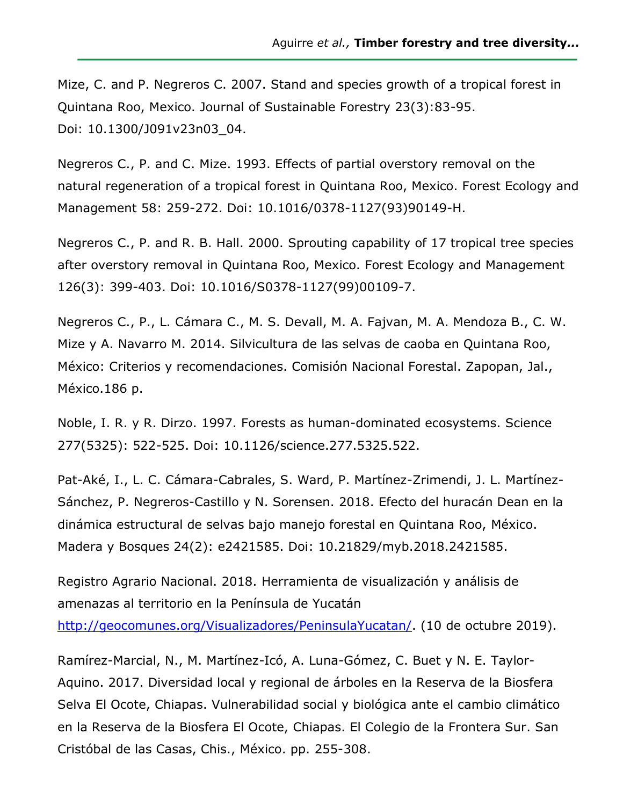Mize, C. and P. Negreros C. 2007. Stand and species growth of a tropical forest in Quintana Roo, Mexico. Journal of Sustainable Forestry 23(3):83-95. Doi: 10.1300/J091v23n03\_04.

Negreros C., P. and C. Mize. 1993. Effects of partial overstory removal on the natural regeneration of a tropical forest in Quintana Roo, Mexico. Forest Ecology and Management 58: 259-272. Doi: 10.1016/0378-1127(93)90149-H.

Negreros C., P. and R. B. Hall. 2000. Sprouting capability of 17 tropical tree species after overstory removal in Quintana Roo, Mexico. Forest Ecology and Management 126(3): 399-403. Doi: 10.1016/S0378-1127(99)00109-7.

Negreros C., P., L. Cámara C., M. S. Devall, M. A. Fajvan, M. A. Mendoza B., C. W. Mize y A. Navarro M. 2014. Silvicultura de las selvas de caoba en Quintana Roo, México: Criterios y recomendaciones. Comisión Nacional Forestal. Zapopan, Jal., México.186 p.

Noble, I. R. y R. Dirzo. 1997. Forests as human-dominated ecosystems. Science 277(5325): 522-525. Doi: 10.1126/science.277.5325.522.

Pat-Aké, I., L. C. Cámara-Cabrales, S. Ward, P. Martínez-Zrimendi, J. L. Martínez-Sánchez, P. Negreros-Castillo y N. Sorensen. 2018. Efecto del huracán Dean en la dinámica estructural de selvas bajo manejo forestal en Quintana Roo, México. Madera y Bosques 24(2): e2421585. Doi: 10.21829/myb.2018.2421585.

Registro Agrario Nacional. 2018. Herramienta de visualización y análisis de amenazas al territorio en la Península de Yucatán

[http://geocomunes.org/Visualizadores/PeninsulaYucatan/.](http://geocomunes.org/Visualizadores/PeninsulaYucatan/) (10 de octubre 2019).

Ramírez-Marcial, N., M. Martínez-Icó, A. Luna-Gómez, C. Buet y N. E. Taylor-Aquino. 2017. Diversidad local y regional de árboles en la Reserva de la Biosfera Selva El Ocote, Chiapas. Vulnerabilidad social y biológica ante el cambio climático en la Reserva de la Biosfera El Ocote, Chiapas. El Colegio de la Frontera Sur. San Cristóbal de las Casas, Chis., México. pp. 255-308.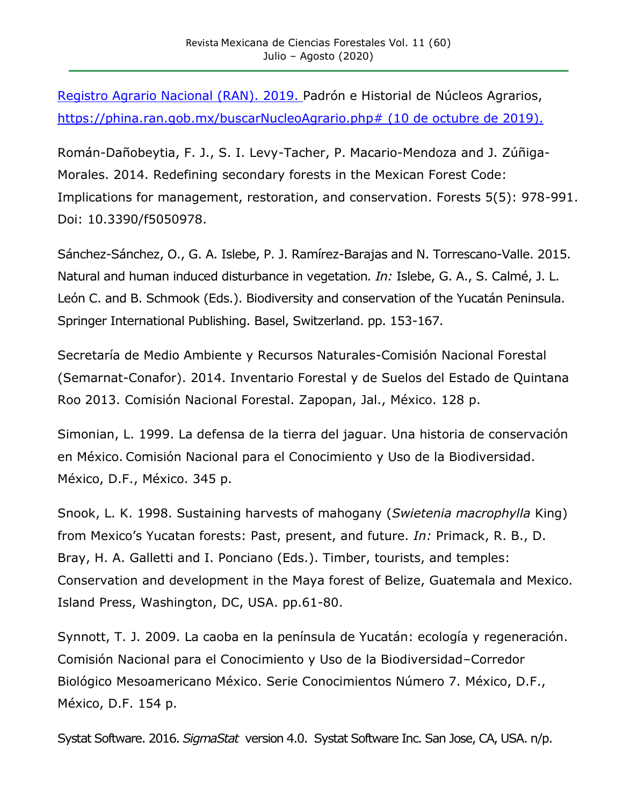Registro Agrario Nacional (RAN). 2019. Padrón e Historial de Núcleos Agrarios, [https://phina.ran.gob.mx/buscarNucleoAgrario.php#](https://phina.ran.gob.mx/buscarNucleoAgrario.php) (10 de octubre de 2019).

Román-Dañobeytia, F. J., S. I. Levy-Tacher, P. Macario-Mendoza and J. Zúñiga-Morales. 2014. Redefining secondary forests in the Mexican Forest Code: Implications for management, restoration, and conservation. Forests 5(5): 978-991. Doi: 10.3390/f5050978.

Sánchez-Sánchez, O., G. A. Islebe, P. J. Ramírez-Barajas and N. Torrescano-Valle. 2015. Natural and human induced disturbance in vegetation*. In:* Islebe, G. A., S. Calmé, J. L. León C. and B. Schmook (Eds.). Biodiversity and conservation of the Yucatán Peninsula. Springer International Publishing. Basel, Switzerland. pp. 153-167.

Secretaría de Medio Ambiente y Recursos Naturales-Comisión Nacional Forestal (Semarnat-Conafor). 2014. Inventario Forestal y de Suelos del Estado de Quintana Roo 2013. Comisión Nacional Forestal. Zapopan, Jal., México. 128 p.

Simonian, L. 1999. La defensa de la tierra del jaguar. Una historia de conservación en México. Comisión Nacional para el Conocimiento y Uso de la Biodiversidad. México, D.F., México. 345 p.

Snook, L. K. 1998. Sustaining harvests of mahogany (*Swietenia macrophylla* King) from Mexico's Yucatan forests: Past, present, and future. *In:* Primack, R. B., D. Bray, H. A. Galletti and I. Ponciano (Eds.). Timber, tourists, and temples: Conservation and development in the Maya forest of Belize, Guatemala and Mexico. Island Press, Washington, DC, USA. pp.61-80.

Synnott, T. J. 2009. La caoba en la península de Yucatán: ecología y regeneración. Comisión Nacional para el Conocimiento y Uso de la Biodiversidad–Corredor Biológico Mesoamericano México. Serie Conocimientos Número 7. México, D.F., México, D.F. 154 p.

Systat Software. 2016. *SigmaStat* version 4.0. Systat Software Inc. San Jose, CA, USA. n/p.